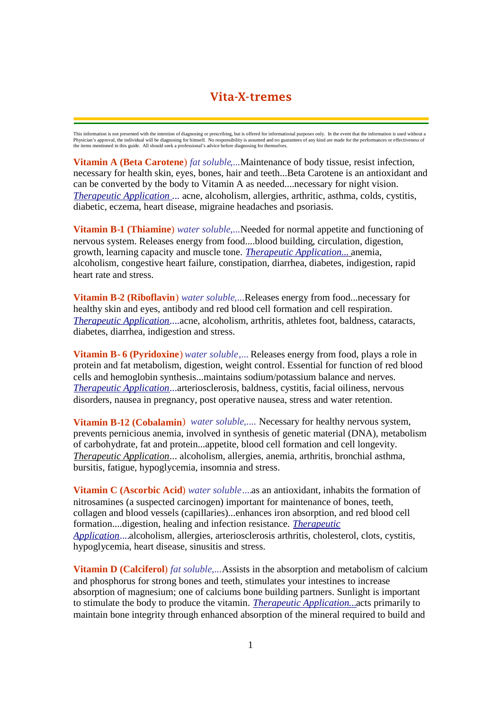# **Vita-X-tremes**

This information is not presented with the intention of diagnosing or prescribing, but is offered for informational purposes only. In the event that the information is used without a<br>Physician's approval, the individual wi

**Vitamin A (Beta Carotene**) *fat soluble*,...Maintenance of body tissue, resist infection, necessary for health skin, eyes, bones, hair and teeth...Beta Carotene is an antioxidant and can be converted by the body to Vitamin A as needed....necessary for night vision. *Therapeutic Application* ... acne, alcoholism, allergies, arthritic, asthma, colds, cystitis, diabetic, eczema, heart disease, migraine headaches and psoriasis.

**Vitamin B-1 (Thiamine**) *water soluble*,...Needed for normal appetite and functioning of nervous system. Releases energy from food....blood building, circulation, digestion, growth, learning capacity and muscle tone. *Therapeutic Application...* anemia, alcoholism, congestive heart failure, constipation, diarrhea, diabetes, indigestion, rapid heart rate and stress.

**Vitamin B-2 (Riboflavin**) *water soluble*,...Releases energy from food...necessary for healthy skin and eyes, antibody and red blood cell formation and cell respiration. *Therapeutic Application*....acne, alcoholism, arthritis, athletes foot, baldness, cataracts, diabetes, diarrhea, indigestion and stress.

**Vitamin B- 6 (Pyridoxine**) *water soluble*,... Releases energy from food, plays a role in protein and fat metabolism, digestion, weight control. Essential for function of red blood cells and hemoglobin synthesis...maintains sodium/potassium balance and nerves. *Therapeutic Application*...arteriosclerosis, baldness, cystitis, facial oiliness, nervous disorders, nausea in pregnancy, post operative nausea, stress and water retention.

**Vitamin B-12 (Cobalamin**) *water soluble*,.... Necessary for healthy nervous system, prevents pernicious anemia, involved in synthesis of genetic material (DNA), metabolism of carbohydrate, fat and protein...appetite, blood cell formation and cell longevity. *Therapeutic Application*... alcoholism, allergies, anemia, arthritis, bronchial asthma, bursitis, fatigue, hypoglycemia, insomnia and stress.

**Vitamin C (Ascorbic Acid**) *water soluble*....as an antioxidant, inhabits the formation of nitrosamines (a suspected carcinogen) important for maintenance of bones, teeth, collagen and blood vessels (capillaries)...enhances iron absorption, and red blood cell formation....digestion, healing and infection resistance. *Therapeutic Application*....alcoholism, allergies, arteriosclerosis arthritis, cholesterol, clots, cystitis, hypoglycemia, heart disease, sinusitis and stress.

**Vitamin D (Calciferol**) *fat soluble*,...Assists in the absorption and metabolism of calcium and phosphorus for strong bones and teeth, stimulates your intestines to increase absorption of magnesium; one of calciums bone building partners. Sunlight is important to stimulate the body to produce the vitamin. *Therapeutic Application...*acts primarily to maintain bone integrity through enhanced absorption of the mineral required to build and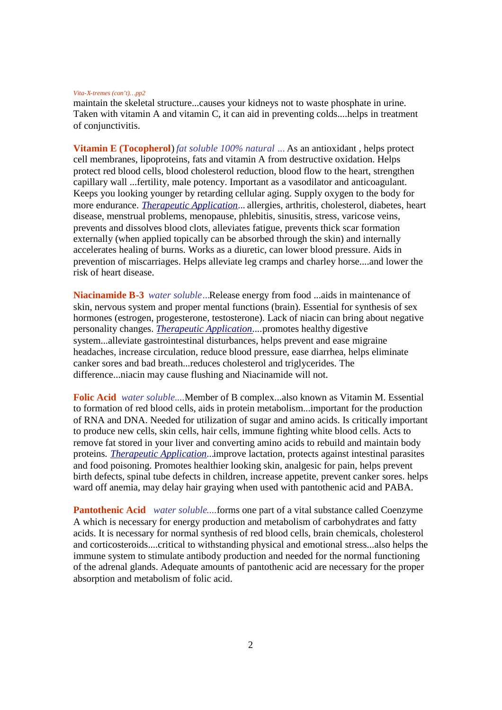## *Vita-X-tremes (con't)…pp2*

maintain the skeletal structure...causes your kidneys not to waste phosphate in urine. Taken with vitamin A and vitamin C, it can aid in preventing colds....helps in treatment of conjunctivitis.

**Vitamin E (Tocopherol**) *fat soluble 100% natural* ... As an antioxidant , helps protect cell membranes, lipoproteins, fats and vitamin A from destructive oxidation. Helps protect red blood cells, blood cholesterol reduction, blood flow to the heart, strengthen capillary wall ...fertility, male potency. Important as a vasodilator and anticoagulant. Keeps you looking younger by retarding cellular aging. Supply oxygen to the body for more endurance. *Therapeutic Application*... allergies, arthritis, cholesterol, diabetes, heart disease, menstrual problems, menopause, phlebitis, sinusitis, stress, varicose veins, prevents and dissolves blood clots, alleviates fatigue, prevents thick scar formation externally (when applied topically can be absorbed through the skin) and internally accelerates healing of burns. Works as a diuretic, can lower blood pressure. Aids in prevention of miscarriages. Helps alleviate leg cramps and charley horse....and lower the risk of heart disease.

**Niacinamide B-3** *water soluble*...Release energy from food ...aids in maintenance of skin, nervous system and proper mental functions (brain). Essential for synthesis of sex hormones (estrogen, progesterone, testosterone). Lack of niacin can bring about negative personality changes. *Therapeutic Application*....promotes healthy digestive system...alleviate gastrointestinal disturbances, helps prevent and ease migraine headaches, increase circulation, reduce blood pressure, ease diarrhea, helps eliminate canker sores and bad breath...reduces cholesterol and triglycerides. The difference...niacin may cause flushing and Niacinamide will not.

**Folic Acid** *water soluble*....Member of B complex...also known as Vitamin M. Essential to formation of red blood cells, aids in protein metabolism...important for the production of RNA and DNA. Needed for utilization of sugar and amino acids. Is critically important to produce new cells, skin cells, hair cells, immune fighting white blood cells. Acts to remove fat stored in your liver and converting amino acids to rebuild and maintain body proteins. *Therapeutic Application*...improve lactation, protects against intestinal parasites and food poisoning. Promotes healthier looking skin, analgesic for pain, helps prevent birth defects, spinal tube defects in children, increase appetite, prevent canker sores. helps ward off anemia, may delay hair graying when used with pantothenic acid and PABA.

**Pantothenic Acid** *water soluble*....forms one part of a vital substance called Coenzyme A which is necessary for energy production and metabolism of carbohydrates and fatty acids. It is necessary for normal synthesis of red blood cells, brain chemicals, cholesterol and corticosteroids....critical to withstanding physical and emotional stress...also helps the immune system to stimulate antibody production and needed for the normal functioning of the adrenal glands. Adequate amounts of pantothenic acid are necessary for the proper absorption and metabolism of folic acid.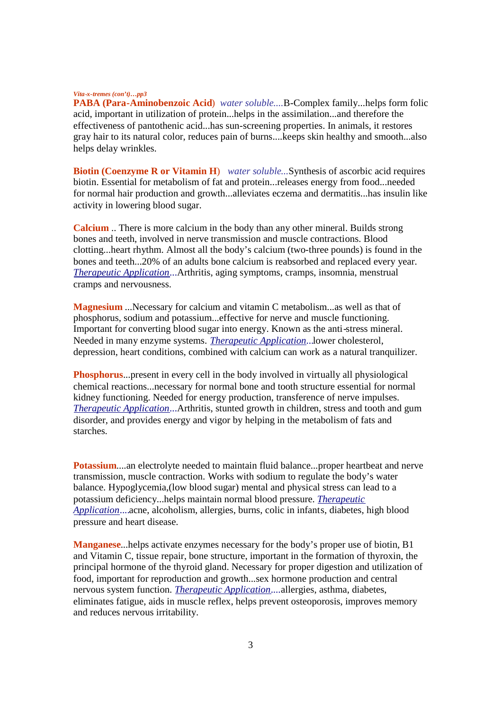## *Vita-x-tremes (con't)…pp3*

**PABA (Para-Aminobenzoic Acid**) *water soluble*....B-Complex family...helps form folic acid, important in utilization of protein...helps in the assimilation...and therefore the effectiveness of pantothenic acid...has sun-screening properties. In animals, it restores gray hair to its natural color, reduces pain of burns....keeps skin healthy and smooth...also helps delay wrinkles.

**Biotin (Coenzyme R or Vitamin H**) *water soluble*...Synthesis of ascorbic acid requires biotin. Essential for metabolism of fat and protein...releases energy from food...needed for normal hair production and growth...alleviates eczema and dermatitis...has insulin like activity in lowering blood sugar.

**Calcium** .. There is more calcium in the body than any other mineral. Builds strong bones and teeth, involved in nerve transmission and muscle contractions. Blood clotting...heart rhythm. Almost all the body's calcium (two-three pounds) is found in the bones and teeth...20% of an adults bone calcium is reabsorbed and replaced every year. *Therapeutic Application*...Arthritis, aging symptoms, cramps, insomnia, menstrual cramps and nervousness.

**Magnesium** ...Necessary for calcium and vitamin C metabolism...as well as that of phosphorus, sodium and potassium...effective for nerve and muscle functioning. Important for converting blood sugar into energy. Known as the anti-stress mineral. Needed in many enzyme systems. *Therapeutic Application*...lower cholesterol, depression, heart conditions, combined with calcium can work as a natural tranquilizer.

**Phosphorus**...present in every cell in the body involved in virtually all physiological chemical reactions...necessary for normal bone and tooth structure essential for normal kidney functioning. Needed for energy production, transference of nerve impulses. *Therapeutic Application*...Arthritis, stunted growth in children, stress and tooth and gum disorder, and provides energy and vigor by helping in the metabolism of fats and starches.

**Potassium....an** electrolyte needed to maintain fluid balance...proper heartbeat and nerve transmission, muscle contraction. Works with sodium to regulate the body's water balance. Hypoglycemia,(low blood sugar) mental and physical stress can lead to a potassium deficiency...helps maintain normal blood pressure. *Therapeutic Application*....acne, alcoholism, allergies, burns, colic in infants, diabetes, high blood pressure and heart disease.

**Manganese**...helps activate enzymes necessary for the body's proper use of biotin, B1 and Vitamin C, tissue repair, bone structure, important in the formation of thyroxin, the principal hormone of the thyroid gland. Necessary for proper digestion and utilization of food, important for reproduction and growth...sex hormone production and central nervous system function. *Therapeutic Application*....allergies, asthma, diabetes, eliminates fatigue, aids in muscle reflex, helps prevent osteoporosis, improves memory and reduces nervous irritability.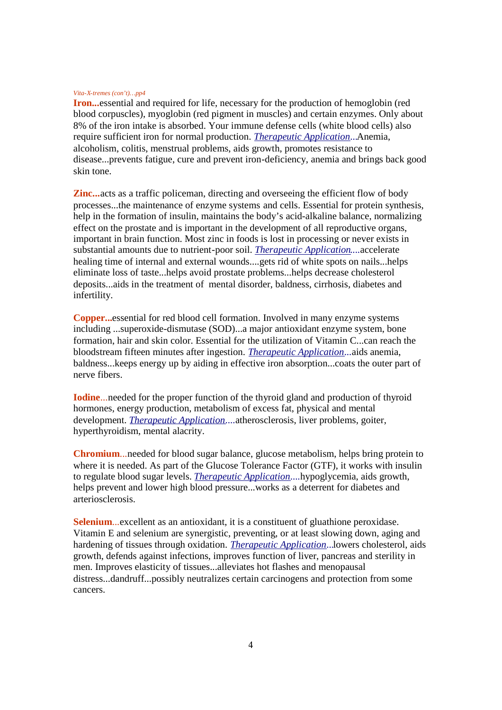### *Vita-X-tremes (con't)…pp4*

**Iron...**essential and required for life, necessary for the production of hemoglobin (red blood corpuscles), myoglobin (red pigment in muscles) and certain enzymes. Only about 8% of the iron intake is absorbed. Your immune defense cells (white blood cells) also require sufficient iron for normal production. *Therapeutic Application*...Anemia, alcoholism, colitis, menstrual problems, aids growth, promotes resistance to disease...prevents fatigue, cure and prevent iron-deficiency, anemia and brings back good skin tone.

**Zinc...** acts as a traffic policeman, directing and overseeing the efficient flow of body processes...the maintenance of enzyme systems and cells. Essential for protein synthesis, help in the formation of insulin, maintains the body's acid-alkaline balance, normalizing effect on the prostate and is important in the development of all reproductive organs, important in brain function. Most zinc in foods is lost in processing or never exists in substantial amounts due to nutrient-poor soil. *Therapeutic Application*....accelerate healing time of internal and external wounds....gets rid of white spots on nails...helps eliminate loss of taste...helps avoid prostate problems...helps decrease cholesterol deposits...aids in the treatment of mental disorder, baldness, cirrhosis, diabetes and infertility.

**Copper...**essential for red blood cell formation. Involved in many enzyme systems including ...superoxide-dismutase (SOD)...a major antioxidant enzyme system, bone formation, hair and skin color. Essential for the utilization of Vitamin C...can reach the bloodstream fifteen minutes after ingestion. *Therapeutic Application*...aids anemia, baldness...keeps energy up by aiding in effective iron absorption...coats the outer part of nerve fibers.

**Iodine**...needed for the proper function of the thyroid gland and production of thyroid hormones, energy production, metabolism of excess fat, physical and mental development. *Therapeutic Application*....atherosclerosis, liver problems, goiter, hyperthyroidism, mental alacrity.

**Chromium**...needed for blood sugar balance, glucose metabolism, helps bring protein to where it is needed. As part of the Glucose Tolerance Factor (GTF), it works with insulin to regulate blood sugar levels. *Therapeutic Application*....hypoglycemia, aids growth, helps prevent and lower high blood pressure...works as a deterrent for diabetes and arteriosclerosis.

**Selenium...**excellent as an antioxidant, it is a constituent of gluathione peroxidase. Vitamin E and selenium are synergistic, preventing, or at least slowing down, aging and hardening of tissues through oxidation. *Therapeutic Application*...lowers cholesterol, aids growth, defends against infections, improves function of liver, pancreas and sterility in men. Improves elasticity of tissues...alleviates hot flashes and menopausal distress...dandruff...possibly neutralizes certain carcinogens and protection from some cancers.